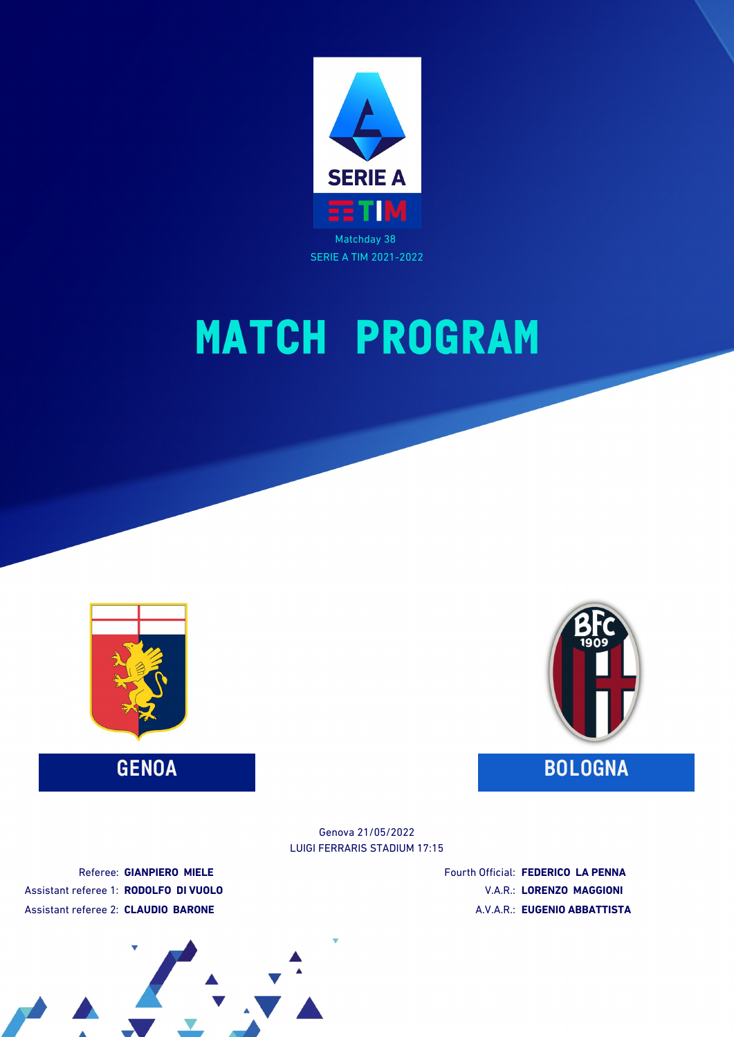

# **MATCH PROGRAM**



**GENOA BOLOGNA**



LUIGI FERRARIS STADIUM 17:15 Genova 21/05/2022

Referee: **GIANPIERO MIELE** Assistant referee 1: **RODOLFO DI VUOLO** Assistant referee 2: **CLAUDIO BARONE**

Fourth Official: **FEDERICO LA PENNA** V.A.R.: **LORENZO MAGGIONI** A.V.A.R.: **EUGENIO ABBATTISTA**

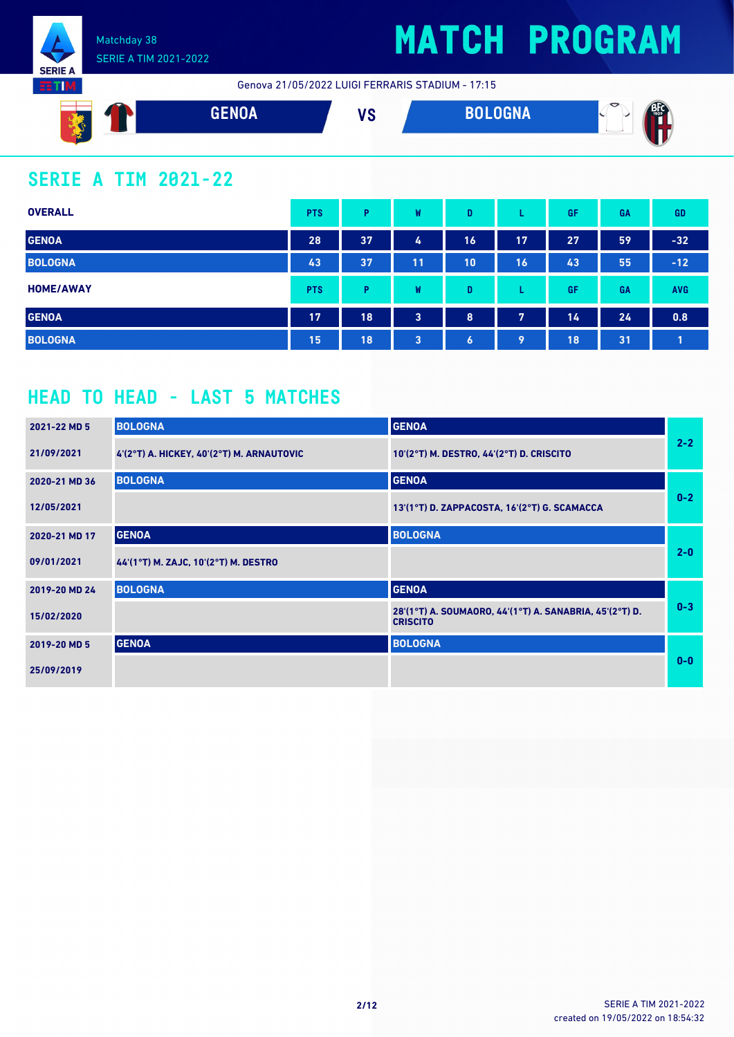

**RTM** 

## **MATCH PROGRAM**

Genova 21/05/2022 LUIGI FERRARIS STADIUM - 17:15



## **SERIE A TIM 2021-22**

| <b>OVERALL</b>   | <b>PTS</b> | P  | W  | D         |    | GF | GA        | <b>GD</b>  |
|------------------|------------|----|----|-----------|----|----|-----------|------------|
| <b>GENOA</b>     | 28         | 37 | 4  | 16        | 17 | 27 | 59        | $-32$      |
| <b>BOLOGNA</b>   | 43         | 37 | 11 | 10        | 16 | 43 | 55        | $-12$      |
| <b>HOME/AWAY</b> | <b>PTS</b> | P  | W  | D         |    | GF | <b>GA</b> | <b>AVG</b> |
| <b>GENOA</b>     | 17         | 18 | 3  | 8         | 7  | 14 | 24        | 0.8        |
| <b>BOLOGNA</b>   | 15         | 18 | 3  | $\bullet$ | 9  | 18 | 31        |            |

### **HEAD TO HEAD - LAST 5 MATCHES**

| 2021-22 MD 5  | <b>BOLOGNA</b>                                | <b>GENOA</b>                                                               |         |
|---------------|-----------------------------------------------|----------------------------------------------------------------------------|---------|
| 21/09/2021    | $4'(2°T)$ A. HICKEY, $40'(2°T)$ M. ARNAUTOVIC | 10'(2°T) M. DESTRO, 44'(2°T) D. CRISCITO                                   | $2 - 2$ |
| 2020-21 MD 36 | <b>BOLOGNA</b>                                | <b>GENOA</b>                                                               |         |
| 12/05/2021    |                                               | 13'(1°T) D. ZAPPACOSTA, 16'(2°T) G. SCAMACCA                               | $0-2$   |
| 2020-21 MD 17 | <b>GENOA</b>                                  | <b>BOLOGNA</b>                                                             |         |
| 09/01/2021    | 44'(1°T) M. ZAJC, 10'(2°T) M. DESTRO          |                                                                            | $2 - 0$ |
| 2019-20 MD 24 | <b>BOLOGNA</b>                                | <b>GENOA</b>                                                               |         |
| 15/02/2020    |                                               | 28'(1°T) A. SOUMAORO, 44'(1°T) A. SANABRIA, 45'(2°T) D.<br><b>CRISCITO</b> | $0 - 3$ |
| 2019-20 MD 5  | <b>GENOA</b>                                  | <b>BOLOGNA</b>                                                             |         |
| 25/09/2019    |                                               |                                                                            | $0 - 0$ |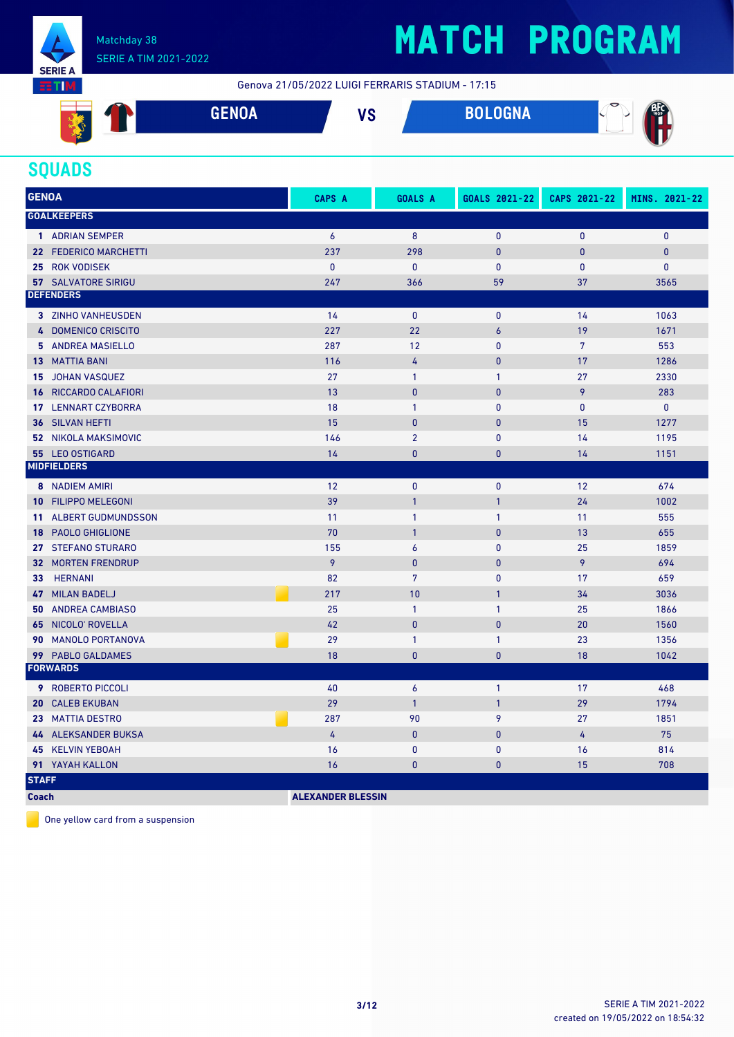

# **MATCH PROGRAM**

Genova 21/05/2022 LUIGI FERRARIS STADIUM - 17:15



### **SQUADS**

| <b>GENOA</b>    |                              | CAPS A    | <b>GOALS A</b>   | GOALS 2021-22    | CAPS 2021-22   | MINS. 2021-22 |
|-----------------|------------------------------|-----------|------------------|------------------|----------------|---------------|
|                 | <b>GOALKEEPERS</b>           |           |                  |                  |                |               |
|                 | 1 ADRIAN SEMPER              | 6         | 8                | $\mathbf{0}$     | $\mathbf{0}$   | $\mathbf{0}$  |
|                 | 22 FEDERICO MARCHETTI        | 237       | 298              | $\mathbf{0}$     | $\mathbf{0}$   | $\pmb{0}$     |
|                 | 25 ROK VODISEK               | $\pmb{0}$ | $\mathbf 0$      | $\mathbf{0}$     | $\mathbf{0}$   | $\pmb{0}$     |
|                 | <b>57 SALVATORE SIRIGU</b>   | 247       | 366              | 59               | 37             | 3565          |
|                 | <b>DEFENDERS</b>             |           |                  |                  |                |               |
|                 | 3 ZINHO VANHEUSDEN           | 14        | $\mathbf{0}$     | $\mathbf{0}$     | 14             | 1063          |
|                 | 4 DOMENICO CRISCITO          | 227       | 22               | $\boldsymbol{6}$ | 19             | 1671          |
|                 | 5 ANDREA MASIELLO            | 287       | 12               | $\mathbf{0}$     | $\overline{7}$ | 553           |
|                 | <b>13 MATTIA BANI</b>        | 116       | 4                | $\mathbf{0}$     | 17             | 1286          |
| 15              | JOHAN VASQUEZ                | 27        | $\mathbf{1}$     | $\mathbf{1}$     | 27             | 2330          |
|                 | <b>16 RICCARDO CALAFIORI</b> | 13        | $\mathbf{0}$     | $\mathbf{0}$     | 9              | 283           |
|                 | 17 LENNART CZYBORRA          | 18        | $\mathbf{1}$     | $\mathbf{0}$     | $\mathbf{0}$   | $\mathbf{0}$  |
| 36              | SILVAN HEFTI                 | 15        | $\mathbf{0}$     | $\mathbf{0}$     | 15             | 1277          |
|                 | <b>52 NIKOLA MAKSIMOVIC</b>  | 146       | $\overline{2}$   | $\mathbf{0}$     | 14             | 1195          |
|                 | 55 LEO OSTIGARD              | 14        | $\mathbf{0}$     | $\mathbf{0}$     | 14             | 1151          |
|                 | <b>MIDFIELDERS</b>           |           |                  |                  |                |               |
|                 | <b>8</b> NADIEM AMIRI        | 12        | $\mathbf 0$      | $\pmb{0}$        | 12             | 674           |
|                 | <b>10 FILIPPO MELEGONI</b>   | 39        | $\overline{1}$   | $\mathbf{1}$     | 24             | 1002          |
| 11 <sup>1</sup> | <b>ALBERT GUDMUNDSSON</b>    | 11        | $\mathbf{1}$     | $\mathbf{1}$     | 11             | 555           |
|                 | 18 PAOLO GHIGLIONE           | 70        | $\overline{1}$   | $\mathbf{0}$     | 13             | 655           |
|                 | 27 STEFANO STURARO           | 155       | $\boldsymbol{6}$ | $\mathbf{0}$     | 25             | 1859          |
|                 | <b>32 MORTEN FRENDRUP</b>    | 9         | $\mathbf{0}$     | $\mathbf{0}$     | 9              | 694           |
| 33 <sup>7</sup> | <b>HERNANI</b>               | 82        | $\overline{7}$   | $\mathbf{0}$     | 17             | 659           |
|                 | 47 MILAN BADELJ              | 217       | 10               | $\mathbf{1}$     | 34             | 3036          |
|                 | <b>50 ANDREA CAMBIASO</b>    | 25        | $\mathbf{1}$     | $\mathbf{1}$     | 25             | 1866          |
| 65              | NICOLO' ROVELLA              | 42        | $\mathbf{0}$     | $\overline{0}$   | 20             | 1560          |
| 90              | <b>MANOLO PORTANOVA</b>      | 29        | $\mathbf{1}$     | $\mathbf{1}$     | 23             | 1356          |
|                 | 99 PABLO GALDAMES            | 18        | $\mathbf{0}$     | $\mathbf{0}$     | 18             | 1042          |
|                 | <b>FORWARDS</b>              |           |                  |                  |                |               |
|                 | <b>9 ROBERTO PICCOLI</b>     | 40        | 6                | $\mathbf{1}$     | 17             | 468           |
| 20              | <b>CALEB EKUBAN</b>          | 29        | $\overline{1}$   | $\mathbf{1}$     | 29             | 1794          |
|                 | 23 MATTIA DESTRO             | 287       | 90               | 9                | 27             | 1851          |
|                 | 44 ALEKSANDER BUKSA          | 4         | $\pmb{0}$        | $\mathbf{0}$     | $\overline{4}$ | 75            |
|                 | 45 KELVIN YEBOAH             | 16        | $\mathbf{0}$     | $\mathbf{0}$     | 16             | 814           |
|                 | 91 YAYAH KALLON              | 16        | $\mathbf{0}$     | $\mathbf{0}$     | 15             | 708           |
| <b>STAFF</b>    |                              |           |                  |                  |                |               |

**Coach ALEXANDER BLESSIN** 

One yellow card from a suspension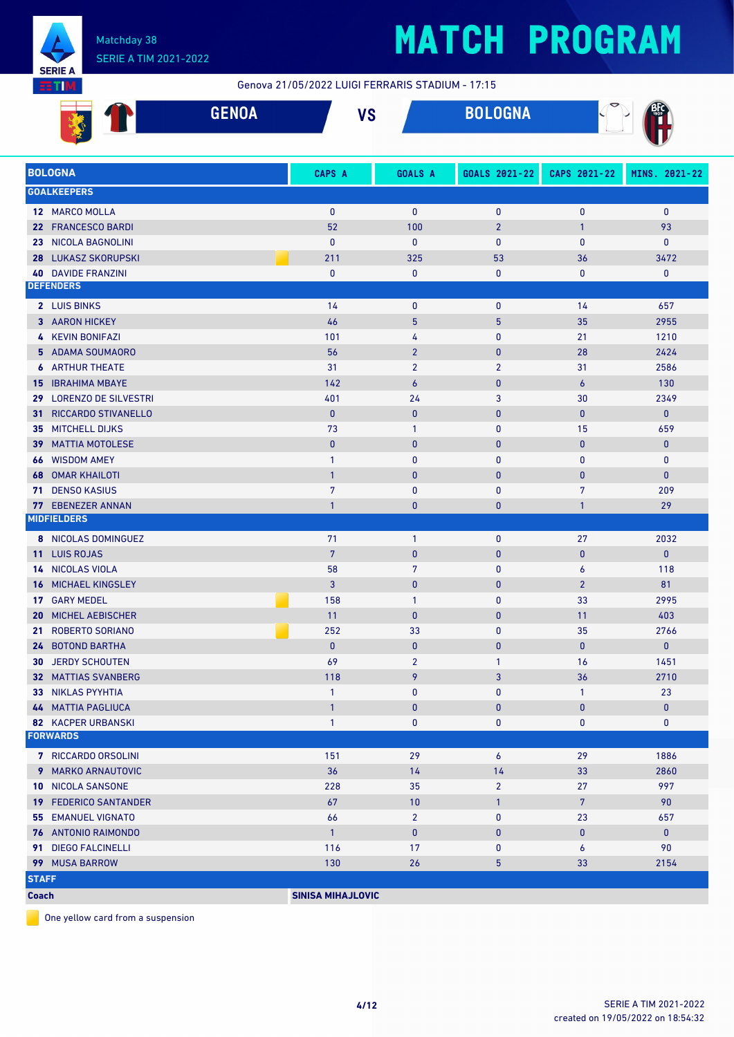

# **MATCH PROGRAM**

Genova 21/05/2022 LUIGI FERRARIS STADIUM - 17:15

|    | $A = 11A$ | 11 A     | <b>BALAALLA</b> | $\triangledown$                                                                                                                                                                                                                      |
|----|-----------|----------|-----------------|--------------------------------------------------------------------------------------------------------------------------------------------------------------------------------------------------------------------------------------|
|    | ULIVUA    | <b>U</b> | <b>DULUUINA</b> | <b>Contract Contract Contract Contract Contract Contract Contract Contract Contract Contract Contract Contract Contract Contract Contract Contract Contract Contract Contract Contract Contract Contract Contract Contract Contr</b> |
| a. |           |          |                 |                                                                                                                                                                                                                                      |

|              | <b>BOLOGNA</b>               | CAPS A                   | <b>GOALS A</b>   | GOALS 2021-22   | CAPS 2021-22   | MINS. 2021-22 |
|--------------|------------------------------|--------------------------|------------------|-----------------|----------------|---------------|
|              | <b>GOALKEEPERS</b>           |                          |                  |                 |                |               |
|              | 12 MARCO MOLLA               | $\mathbf{0}$             | $\mathbf{0}$     | $\mathbf{0}$    | $\mathbf{0}$   | $\mathbf{0}$  |
|              | 22 FRANCESCO BARDI           | 52                       | 100              | $\overline{2}$  | $\mathbf{1}$   | 93            |
| 23.          | NICOLA BAGNOLINI             | $\mathbf{0}$             | $\mathbf{0}$     | $\bf{0}$        | $\mathbf{0}$   | 0             |
| 28           | <b>LUKASZ SKORUPSKI</b>      | 211                      | 325              | 53              | 36             | 3472          |
|              | <b>40 DAVIDE FRANZINI</b>    | $\bf{0}$                 | $\mathbf{0}$     | $\pmb{0}$       | 0              | 0             |
|              | <b>DEFENDERS</b>             |                          |                  |                 |                |               |
|              | 2 LUIS BINKS                 | 14                       | $\mathbf 0$      | $\bf{0}$        | 14             | 657           |
|              | 3 AARON HICKEY               | 46                       | 5                | $5\phantom{.0}$ | 35             | 2955          |
|              | 4 KEVIN BONIFAZI             | 101                      | 4                | $\pmb{0}$       | 21             | 1210          |
|              | 5 ADAMA SOUMAORO             | 56                       | $\overline{2}$   | $\pmb{0}$       | 28             | 2424          |
|              | <b>6 ARTHUR THEATE</b>       | 31                       | $\overline{2}$   | $\overline{2}$  | 31             | 2586          |
|              |                              | 142                      |                  |                 |                |               |
|              | <b>15 IBRAHIMA MBAYE</b>     | 401                      | $\boldsymbol{6}$ | $\mathbf{0}$    | 6              | 130<br>2349   |
|              | 29 LORENZO DE SILVESTRI      |                          | 24               | 3               | 30             |               |
| 31           | <b>RICCARDO STIVANELLO</b>   | $\mathbf{0}$             | $\mathbf{0}$     | $\pmb{0}$       | $\bf{0}$       | 0             |
|              | <b>35 MITCHELL DIJKS</b>     | 73                       | $\mathbf{1}$     | $\mathbf{0}$    | 15             | 659           |
|              | <b>39 MATTIA MOTOLESE</b>    | $\mathbf{0}$             | $\mathbf{0}$     | $\pmb{0}$       | $\mathbf{0}$   | $\mathbf{0}$  |
| 66           | <b>WISDOM AMEY</b>           | $\mathbf{1}$             | $\mathbf{0}$     | $\mathbf{0}$    | 0              | 0             |
| 68           | <b>OMAR KHAILOTI</b>         | $\mathbf{1}$             | $\mathbf{0}$     | $\mathbf{0}$    | $\bf{0}$       | $\bf{0}$      |
|              | <b>71 DENSO KASIUS</b>       | $\overline{7}$           | 0                | $\mathbf{0}$    | 7              | 209           |
|              | 77 EBENEZER ANNAN            | $\mathbf{1}$             | $\mathbf{0}$     | $\mathbf{0}$    | $\mathbf{1}$   | 29            |
|              | <b>MIDFIELDERS</b>           |                          |                  |                 |                |               |
|              | 8 NICOLAS DOMINGUEZ          | 71                       | $\mathbf{1}$     | $\mathbf{0}$    | 27             | 2032          |
|              | 11 LUIS ROJAS                | $7\phantom{.0}$          | $\mathbf{0}$     | $\pmb{0}$       | $\bf{0}$       | 0             |
|              | 14 NICOLAS VIOLA             | 58                       | $\overline{7}$   | $\mathbf{0}$    | 6              | 118           |
| 16           | <b>MICHAEL KINGSLEY</b>      | 3                        | $\mathbf{0}$     | $\pmb{0}$       | $\overline{2}$ | 81            |
|              | 17 GARY MEDEL                | 158                      | $\mathbf{1}$     | $\mathbf{0}$    | 33             | 2995          |
| 20           | MICHEL AEBISCHER             | 11                       | $\mathbf{0}$     | $\mathbf{0}$    | 11             | 403           |
| 21           | <b>ROBERTO SORIANO</b>       | 252                      | 33               | $\mathbf{0}$    | 35             | 2766          |
|              | 24 BOTOND BARTHA             | $\mathbf{0}$             | $\mathbf{0}$     | $\mathbf{0}$    | $\mathbf{0}$   | 0             |
| 30           | <b>JERDY SCHOUTEN</b>        | 69                       | $\overline{2}$   | $\mathbf{1}$    | 16             | 1451          |
|              | <b>32 MATTIAS SVANBERG</b>   | 118                      | 9                | 3               | 36             | 2710          |
|              | 33 NIKLAS PYYHTIA            | $\mathbf{1}$             | $\pmb{0}$        | $\mathbf{0}$    | $\mathbf{1}$   | 23            |
|              | <b>44 MATTIA PAGLIUCA</b>    | $\mathbf{1}$             | $\overline{0}$   | $\mathbf{0}$    | $\mathbf{0}$   | 0             |
|              | <b>82 KACPER URBANSKI</b>    | $\mathbf{1}$             | 0                | $\mathbf 0$     | 0              | 0             |
|              | <b>FORWARDS</b>              |                          |                  |                 |                |               |
|              | 7 RICCARDO ORSOLINI          | 151                      | 29               | 6               | 29             | 1886          |
|              | 9 MARKO ARNAUTOVIC           | 36                       | 14               | 14              | 33             | 2860          |
|              | 10 NICOLA SANSONE            | 228                      | 35               | $\overline{2}$  | 27             | 997           |
|              | <b>19 FEDERICO SANTANDER</b> | 67                       | 10               | $\mathbf{1}$    | 7 <sup>7</sup> | 90            |
|              | <b>55 EMANUEL VIGNATO</b>    | 66                       | $\overline{2}$   | 0               | 23             | 657           |
|              | 76 ANTONIO RAIMONDO          | $\mathbf{1}$             | $\bf{0}$         | $\pmb{0}$       | 0              | $\mathbf 0$   |
|              | 91 DIEGO FALCINELLI          | 116                      | 17               | 0               | 6              | 90            |
|              | 99 MUSA BARROW               | 130                      | 26               | 5               | 33             | 2154          |
| <b>STAFF</b> |                              |                          |                  |                 |                |               |
| <b>Coach</b> |                              | <b>SINISA MIHAJLOVIC</b> |                  |                 |                |               |
|              |                              |                          |                  |                 |                |               |

One yellow card from a suspension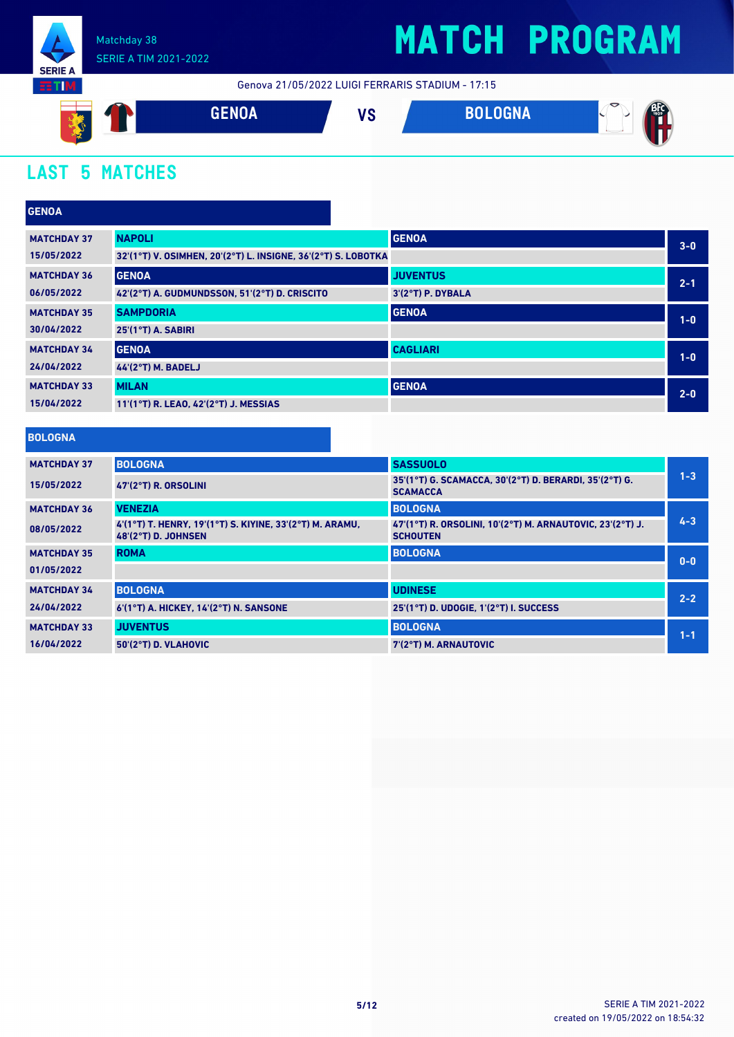

## **MATCH PROGRAM**

Genova 21/05/2022 LUIGI FERRARIS STADIUM - 17:15



## **LAST 5 MATCHES**

| <b>GENOA</b>       |                                                               |                   |         |  |
|--------------------|---------------------------------------------------------------|-------------------|---------|--|
| <b>MATCHDAY 37</b> | <b>NAPOLI</b>                                                 | <b>GENOA</b>      | $3 - 0$ |  |
| 15/05/2022         | 32'(1°T) V. OSIMHEN, 20'(2°T) L. INSIGNE, 36'(2°T) S. LOBOTKA |                   |         |  |
| <b>MATCHDAY 36</b> | <b>GENOA</b>                                                  | <b>JUVENTUS</b>   | $2 - 1$ |  |
| 06/05/2022         | 42'(2°T) A. GUDMUNDSSON, 51'(2°T) D. CRISCITO                 | 3'(2°T) P. DYBALA |         |  |
| <b>MATCHDAY 35</b> | <b>SAMPDORIA</b>                                              | <b>GENOA</b>      | $1-0$   |  |
| 30/04/2022         | 25'(1°T) A. SABIRI                                            |                   |         |  |
| <b>MATCHDAY 34</b> | <b>GENOA</b>                                                  | <b>CAGLIARI</b>   | $1-0$   |  |
| 24/04/2022         | <b>44'(2°T) M. BADELJ</b>                                     |                   |         |  |
| <b>MATCHDAY 33</b> | <b>MILAN</b>                                                  | <b>GENOA</b>      | $2 - 0$ |  |
| 15/04/2022         | 11'(1°T) R. LEAO, 42'(2°T) J. MESSIAS                         |                   |         |  |

#### **BOLOGNA**

| <b>MATCHDAY 37</b> | <b>BOLOGNA</b>                                                                  | <b>SASSUOLO</b>                                                              |         |
|--------------------|---------------------------------------------------------------------------------|------------------------------------------------------------------------------|---------|
| 15/05/2022         | $47(2^{\circ}T)$ R. ORSOLINI                                                    | 35'(1°T) G. SCAMACCA, 30'(2°T) D. BERARDI, 35'(2°T) G.<br><b>SCAMACCA</b>    | $1 - 3$ |
| <b>MATCHDAY 36</b> | <b>VENEZIA</b>                                                                  | <b>BOLOGNA</b>                                                               |         |
| 08/05/2022         | 4'(1°T) T. HENRY, 19'(1°T) S. KIYINE, 33'(2°T) M. ARAMU,<br>48'(2°T) D. JOHNSEN | 47'(1°T) R. ORSOLINI, 10'(2°T) M. ARNAUTOVIC, 23'(2°T) J.<br><b>SCHOUTEN</b> | $4 - 3$ |
| <b>MATCHDAY 35</b> | <b>ROMA</b>                                                                     | <b>BOLOGNA</b>                                                               |         |
| 01/05/2022         |                                                                                 |                                                                              | $0 - 0$ |
| <b>MATCHDAY 34</b> | <b>BOLOGNA</b>                                                                  | <b>UDINESE</b>                                                               |         |
| 24/04/2022         | 6'(1°T) A. HICKEY, 14'(2°T) N. SANSONE                                          | 25'(1°T) D. UDOGIE. 1'(2°T) I. SUCCESS                                       | $2 - 2$ |
| <b>MATCHDAY 33</b> | <b>JUVENTUS</b>                                                                 | <b>BOLOGNA</b>                                                               | $1 - 1$ |
| 16/04/2022         | 50'(2°T) D. VLAHOVIC                                                            | 7'(2°T) M. ARNAUTOVIC                                                        |         |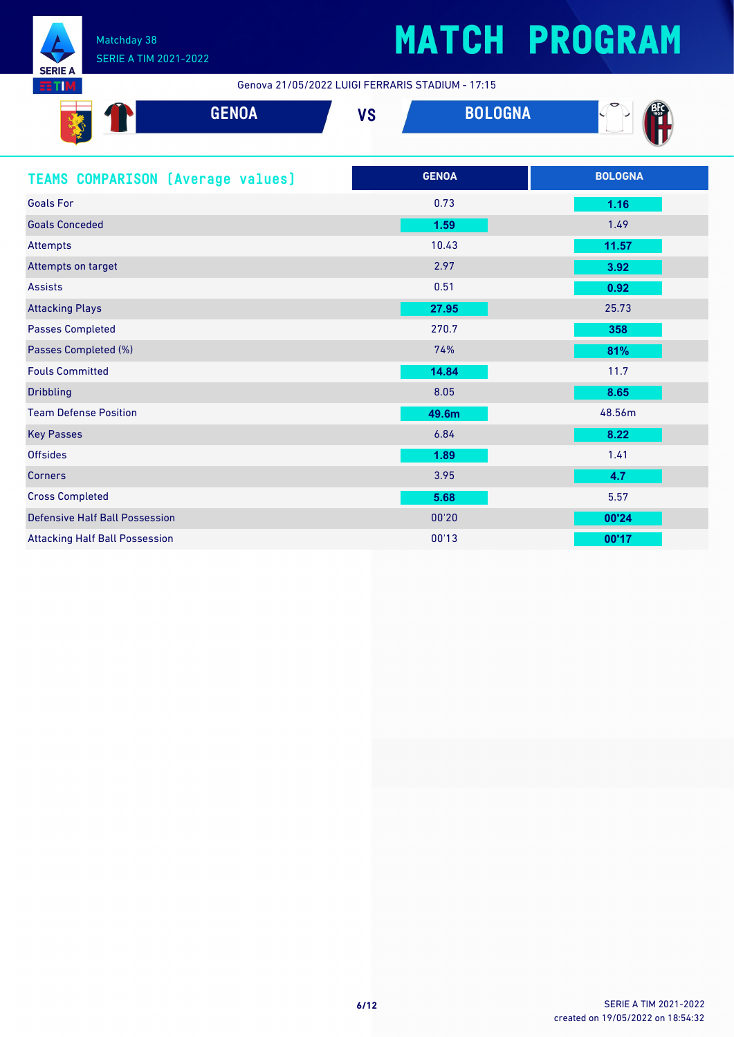

# **MATCH PROGRAM**

Genova 21/05/2022 LUIGI FERRARIS STADIUM - 17:15

| <b>GENOA</b>                             | <b>VS</b> | <b>BOLOGNA</b> |                |
|------------------------------------------|-----------|----------------|----------------|
| <b>TEAMS COMPARISON (Average values)</b> |           | <b>GENOA</b>   | <b>BOLOGNA</b> |
| <b>Goals For</b>                         |           | 0.73           | 1.16           |
| <b>Goals Conceded</b>                    |           | 1.59           | 1.49           |
| <b>Attempts</b>                          |           | 10.43          | 11.57          |
| Attempts on target                       |           | 2.97           | 3.92           |
| <b>Assists</b>                           |           | 0.51           | 0.92           |
| <b>Attacking Plays</b>                   |           | 27.95          | 25.73          |
| <b>Passes Completed</b>                  |           | 270.7          | 358            |
| Passes Completed (%)                     |           | 74%            | 81%            |
| <b>Fouls Committed</b>                   |           | 14.84          | 11.7           |
| <b>Dribbling</b>                         |           | 8.05           | 8.65           |
| <b>Team Defense Position</b>             |           | 49.6m          | 48.56m         |
| <b>Key Passes</b>                        |           | 6.84           | 8.22           |
| <b>Offsides</b>                          |           | 1.89           | 1.41           |
| Corners                                  |           | 3.95           | 4.7            |
| <b>Cross Completed</b>                   |           | 5.68           | 5.57           |
| <b>Defensive Half Ball Possession</b>    |           | 00'20          | 00'24          |
| <b>Attacking Half Ball Possession</b>    |           | 00'13          | 00'17          |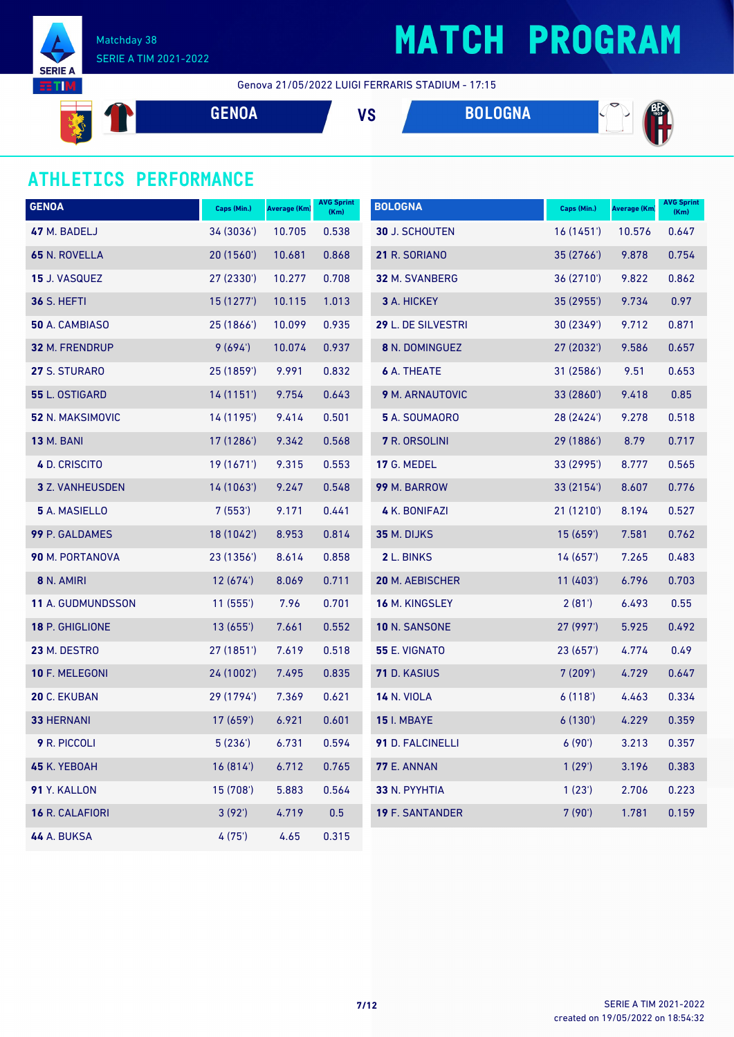

## **MATCH PROGRAM**

Genova 21/05/2022 LUIGI FERRARIS STADIUM - 17:15

**PARTIES GENOA VS BOLOGNA REA** 

### **ATHLETICS PERFORMANCE**

| <b>GENOA</b>           | Caps (Min.) | <b>Average (Km)</b> | <b>AVG Sprint</b><br>(Km) | <b>BOLOGNA</b>         | Caps (Min.) | Average (Km) | <b>AVG Sprint</b><br>(Km) |
|------------------------|-------------|---------------------|---------------------------|------------------------|-------------|--------------|---------------------------|
| 47 M. BADELJ           | 34 (3036')  | 10.705              | 0.538                     | <b>30 J. SCHOUTEN</b>  | 16(1451)    | 10.576       | 0.647                     |
| 65 N. ROVELLA          | 20(1560)    | 10.681              | 0.868                     | 21 R. SORIANO          | 35 (2766')  | 9.878        | 0.754                     |
| <b>15 J. VASQUEZ</b>   | 27 (2330')  | 10.277              | 0.708                     | 32 M. SVANBERG         | 36 (2710')  | 9.822        | 0.862                     |
| <b>36 S. HEFTI</b>     | 15(1277)    | 10.115              | 1.013                     | 3 A. HICKEY            | 35 (2955')  | 9.734        | 0.97                      |
| 50 A. CAMBIASO         | 25 (1866')  | 10.099              | 0.935                     | 29 L. DE SILVESTRI     | 30 (2349')  | 9.712        | 0.871                     |
| 32 M. FRENDRUP         | 9(694)      | 10.074              | 0.937                     | 8 N. DOMINGUEZ         | 27 (2032')  | 9.586        | 0.657                     |
| 27 S. STURARO          | 25 (1859')  | 9.991               | 0.832                     | <b>6 A. THEATE</b>     | 31 (2586')  | 9.51         | 0.653                     |
| 55 L. OSTIGARD         | 14(1151)    | 9.754               | 0.643                     | 9 M. ARNAUTOVIC        | 33 (2860')  | 9.418        | 0.85                      |
| 52 N. MAKSIMOVIC       | 14 (1195')  | 9.414               | 0.501                     | 5 A. SOUMAORO          | 28 (2424')  | 9.278        | 0.518                     |
| <b>13 M. BANI</b>      | 17 (1286')  | 9.342               | 0.568                     | 7 R. ORSOLINI          | 29 (1886')  | 8.79         | 0.717                     |
| 4 D. CRISCITO          | 19 (1671')  | 9.315               | 0.553                     | 17 G. MEDEL            | 33 (2995')  | 8.777        | 0.565                     |
| <b>3</b> Z. VANHEUSDEN | 14 (1063')  | 9.247               | 0.548                     | 99 M. BARROW           | 33 (2154')  | 8.607        | 0.776                     |
| 5 A. MASIELLO          | 7(553)      | 9.171               | 0.441                     | 4 K. BONIFAZI          | 21 (1210')  | 8.194        | 0.527                     |
| 99 P. GALDAMES         | 18 (1042')  | 8.953               | 0.814                     | 35 M. DIJKS            | 15(659)     | 7.581        | 0.762                     |
| <b>90 M. PORTANOVA</b> | 23 (1356')  | 8.614               | 0.858                     | 2 L. BINKS             | 14(657)     | 7.265        | 0.483                     |
| 8 N. AMIRI             | 12(674)     | 8.069               | 0.711                     | 20 M. AEBISCHER        | 11(403)     | 6.796        | 0.703                     |
| 11 A. GUDMUNDSSON      | 11(555)     | 7.96                | 0.701                     | 16 M. KINGSLEY         | 2(81')      | 6.493        | 0.55                      |
| 18 P. GHIGLIONE        | 13(655)     | 7.661               | 0.552                     | 10 N. SANSONE          | 27(997)     | 5.925        | 0.492                     |
| 23 M. DESTRO           | 27 (1851')  | 7.619               | 0.518                     | <b>55 E. VIGNATO</b>   | 23(657)     | 4.774        | 0.49                      |
| 10 F. MELEGONI         | 24(1002)    | 7.495               | 0.835                     | <b>71</b> D. KASIUS    | 7(209)      | 4.729        | 0.647                     |
| 20 C. EKUBAN           | 29 (1794')  | 7.369               | 0.621                     | <b>14 N. VIOLA</b>     | 6(118)      | 4.463        | 0.334                     |
| <b>33 HERNANI</b>      | 17 (659')   | 6.921               | 0.601                     | <b>15 I. MBAYE</b>     | 6(130)      | 4.229        | 0.359                     |
| 9 R. PICCOLI           | 5(236)      | 6.731               | 0.594                     | 91 D. FALCINELLI       | 6(90)       | 3.213        | 0.357                     |
| 45 K. YEBOAH           | 16(814)     | 6.712               | 0.765                     | <b>77 E. ANNAN</b>     | 1(29)       | 3.196        | 0.383                     |
| 91 Y. KALLON           | 15 (708')   | 5.883               | 0.564                     | 33 N. PYYHTIA          | 1(23')      | 2.706        | 0.223                     |
| 16 R. CALAFIORI        | 3(92')      | 4.719               | 0.5                       | <b>19 F. SANTANDER</b> | 7(90)       | 1.781        | 0.159                     |
| <b>44 A. BUKSA</b>     | 4(75)       | 4.65                | 0.315                     |                        |             |              |                           |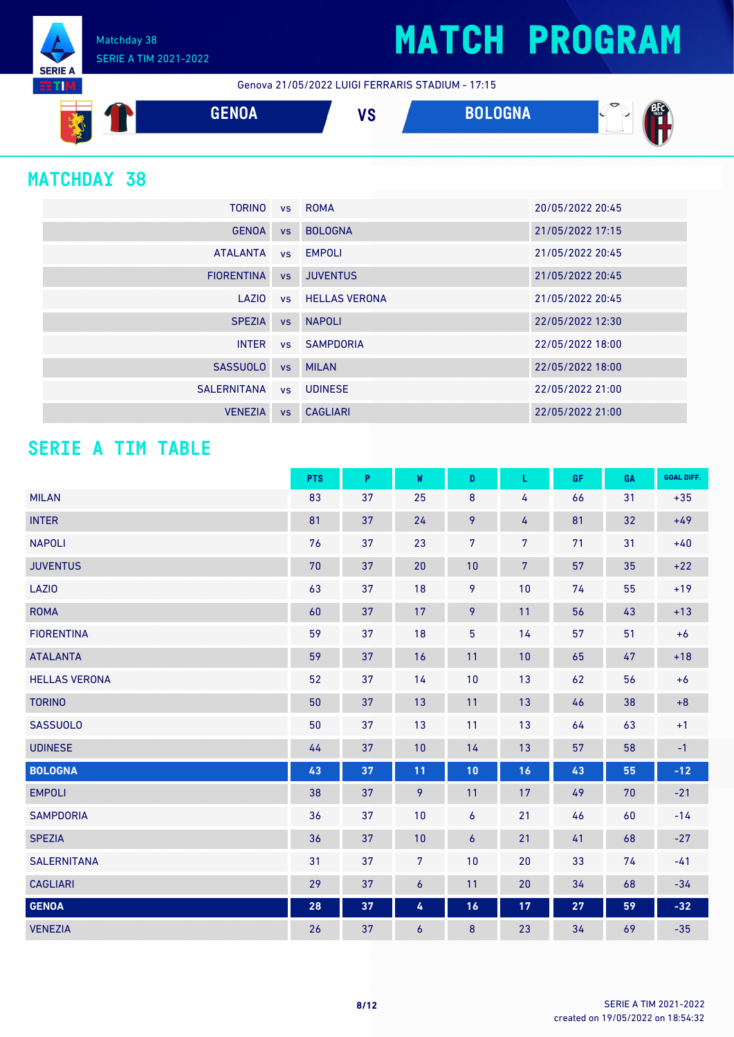## **MATCH PROGRAM**

Matchday 38 SERIE A TIM 2021-2022

Genova 21/05/2022 LUIGI FERRARIS STADIUM - 17:15



### **MATCHDAY 38**

**SERIE A RTM** 

| <b>TORINO</b>     |           | vs ROMA                 | 20/05/2022 20:45 |
|-------------------|-----------|-------------------------|------------------|
| <b>GENOA</b>      | <b>VS</b> | <b>BOLOGNA</b>          | 21/05/2022 17:15 |
| <b>ATALANTA</b>   |           | vs EMPOLI               | 21/05/2022 20:45 |
| <b>FIORENTINA</b> | <b>VS</b> | <b>JUVENTUS</b>         | 21/05/2022 20:45 |
| LAZIO             |           | <b>vs</b> HELLAS VERONA | 21/05/2022 20:45 |
| <b>SPEZIA</b>     |           | vs NAPOLI               | 22/05/2022 12:30 |
| <b>INTER</b>      |           | vs SAMPDORIA            | 22/05/2022 18:00 |
| <b>SASSUOLO</b>   |           | vs MILAN                | 22/05/2022 18:00 |
| SALERNITANA       |           | vs UDINESE              | 22/05/2022 21:00 |
| <b>VENEZIA</b>    | <b>VS</b> | <b>CAGLIARI</b>         | 22/05/2022 21:00 |

### **SERIE A TIM TABLE**

|                      | <b>PTS</b> | P  | W              | D              | L              | <b>GF</b> | GA | <b>GOAL DIFF.</b> |
|----------------------|------------|----|----------------|----------------|----------------|-----------|----|-------------------|
| <b>MILAN</b>         | 83         | 37 | 25             | 8              | 4              | 66        | 31 | $+35$             |
| <b>INTER</b>         | 81         | 37 | 24             | 9              | 4              | 81        | 32 | $+49$             |
| <b>NAPOLI</b>        | 76         | 37 | 23             | $\overline{7}$ | 7              | 71        | 31 | $+40$             |
| <b>JUVENTUS</b>      | 70         | 37 | 20             | 10             | $\overline{7}$ | 57        | 35 | $+22$             |
| LAZI0                | 63         | 37 | 18             | 9              | 10             | 74        | 55 | $+19$             |
| <b>ROMA</b>          | 60         | 37 | 17             | 9              | 11             | 56        | 43 | $+13$             |
| <b>FIORENTINA</b>    | 59         | 37 | 18             | 5              | 14             | 57        | 51 | $+6$              |
| <b>ATALANTA</b>      | 59         | 37 | 16             | 11             | 10             | 65        | 47 | $+18$             |
| <b>HELLAS VERONA</b> | 52         | 37 | 14             | 10             | 13             | 62        | 56 | $+6$              |
| <b>TORINO</b>        | 50         | 37 | 13             | 11             | 13             | 46        | 38 | $+8$              |
| <b>SASSUOLO</b>      | 50         | 37 | 13             | 11             | 13             | 64        | 63 | $+1$              |
| <b>UDINESE</b>       | 44         | 37 | 10             | 14             | 13             | 57        | 58 | $-1$              |
| <b>BOLOGNA</b>       | 43         | 37 | 11             | 10             | 16             | 43        | 55 | $-12$             |
| <b>EMPOLI</b>        | 38         | 37 | 9              | 11             | 17             | 49        | 70 | $-21$             |
| <b>SAMPDORIA</b>     | 36         | 37 | 10             | 6              | 21             | 46        | 60 | $-14$             |
| <b>SPEZIA</b>        | 36         | 37 | 10             | $\epsilon$     | 21             | 41        | 68 | $-27$             |
| <b>SALERNITANA</b>   | 31         | 37 | $\overline{7}$ | 10             | 20             | 33        | 74 | $-41$             |
| <b>CAGLIARI</b>      | 29         | 37 | 6              | 11             | 20             | 34        | 68 | $-34$             |
| <b>GENOA</b>         | ${\bf 28}$ | 37 | 4              | 16             | 17             | 27        | 59 | $-32$             |
| <b>VENEZIA</b>       | 26         | 37 | 6              | 8              | 23             | 34        | 69 | $-35$             |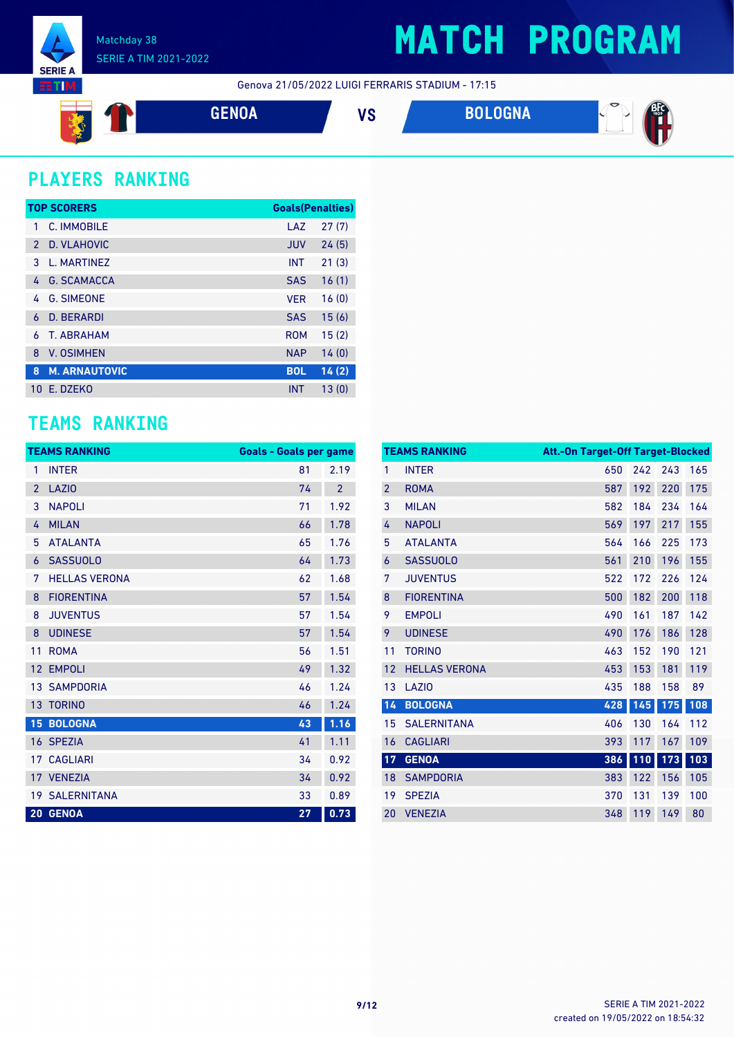

## **MATCH PROGRAM**

Genova 21/05/2022 LUIGI FERRARIS STADIUM - 17:15



## **PLAYERS RANKING**

|               | <b>TOP SCORERS</b>   | <b>Goals(Penalties)</b> |       |
|---------------|----------------------|-------------------------|-------|
| 1             | C. IMMOBILE          | LAZ                     | 27(7) |
| $\mathcal{P}$ | D. VLAHOVIC          | <b>JUV</b>              | 24(5) |
| 3             | L. MARTINEZ          | <b>INT</b>              | 21(3) |
| 4             | <b>G. SCAMACCA</b>   | <b>SAS</b>              | 16(1) |
| 4             | <b>G. SIMEONE</b>    | <b>VER</b>              | 16(0) |
| 6             | <b>D. BERARDI</b>    | <b>SAS</b>              | 15(6) |
| 6             | <b>T. ABRAHAM</b>    | <b>ROM</b>              | 15(2) |
| 8             | <b>V. OSIMHEN</b>    | <b>NAP</b>              | 14(0) |
| 8             | <b>M. ARNAUTOVIC</b> | <b>BOL</b>              | 14(2) |
| 10            | E. DZEKO             | <b>INT</b>              | 13(0) |

### **TEAMS RANKING**

|                 | <b>TEAMS RANKING</b>  | <b>Goals - Goals per game</b> |                |
|-----------------|-----------------------|-------------------------------|----------------|
| 1               | <b>INTER</b>          | 81                            | 2.19           |
| $\overline{2}$  | <b>LAZIO</b>          | 74                            | $\overline{2}$ |
| 3               | <b>NAPOLI</b>         | 71                            | 1.92           |
| 4               | <b>MILAN</b>          | 66                            | 1.78           |
| 5               | <b>ATALANTA</b>       | 65                            | 1.76           |
| 6               | <b>SASSUOLO</b>       | 64                            | 1.73           |
| 7               | <b>HELLAS VERONA</b>  | 62                            | 1.68           |
| 8               | <b>FIORENTINA</b>     | 57                            | 1.54           |
| 8               | <b>JUVENTUS</b>       | 57                            | 1.54           |
| 8               | <b>UDINESE</b>        | 57                            | 1.54           |
| 11              | <b>ROMA</b>           | 56                            | 1.51           |
| 12              | <b>EMPOLI</b>         | 49                            | 1.32           |
| 13 <sup>1</sup> | <b>SAMPDORIA</b>      | 46                            | 1.24           |
|                 | 13 TORINO             | 46                            | 1.24           |
|                 | <b>15 BOLOGNA</b>     | 43                            | 1.16           |
|                 | 16 SPEZIA             | 41                            | 1.11           |
| 17              | <b>CAGLIARI</b>       | 34                            | 0.92           |
|                 | 17 VENEZIA            | 34                            | 0.92           |
|                 | <b>19 SALERNITANA</b> | 33                            | 0.89           |
|                 | 20 GENOA              | 27                            | 0.73           |

|                | <b>TEAMS RANKING</b> | Att.-On Target-Off Target-Blocked |     |     |     |
|----------------|----------------------|-----------------------------------|-----|-----|-----|
| 1              | <b>INTER</b>         | 650                               | 242 | 243 | 165 |
| $\overline{2}$ | <b>ROMA</b>          | 587                               | 192 | 220 | 175 |
| 3              | <b>MILAN</b>         | 582                               | 184 | 234 | 164 |
| 4              | <b>NAPOLI</b>        | 569                               | 197 | 217 | 155 |
| 5              | <b>ATALANTA</b>      | 564                               | 166 | 225 | 173 |
| 6              | <b>SASSUOLO</b>      | 561                               | 210 | 196 | 155 |
| 7              | <b>JUVENTUS</b>      | 522                               | 172 | 226 | 124 |
| 8              | <b>FIORENTINA</b>    | 500                               | 182 | 200 | 118 |
| 9              | <b>EMPOLI</b>        | 490                               | 161 | 187 | 142 |
| 9              | <b>UDINESE</b>       | 490                               | 176 | 186 | 128 |
| 11             | <b>TORINO</b>        | 463                               | 152 | 190 | 121 |
| 12             | <b>HELLAS VERONA</b> | 453                               | 153 | 181 | 119 |
| 13             | LAZI <sub>0</sub>    | 435                               | 188 | 158 | 89  |
| 14             | <b>BOLOGNA</b>       | 428                               | 145 | 175 | 108 |
| 15             | <b>SALERNITANA</b>   | 406                               | 130 | 164 | 112 |
| 16             | <b>CAGLIARI</b>      | 393                               | 117 | 167 | 109 |
| 17             | <b>GENOA</b>         | 386                               | 110 | 173 | 103 |
| 18             | <b>SAMPDORIA</b>     | 383                               | 122 | 156 | 105 |
| 19             | <b>SPEZIA</b>        | 370                               | 131 | 139 | 100 |
| 20             | <b>VENEZIA</b>       | 348                               | 119 | 149 | 80  |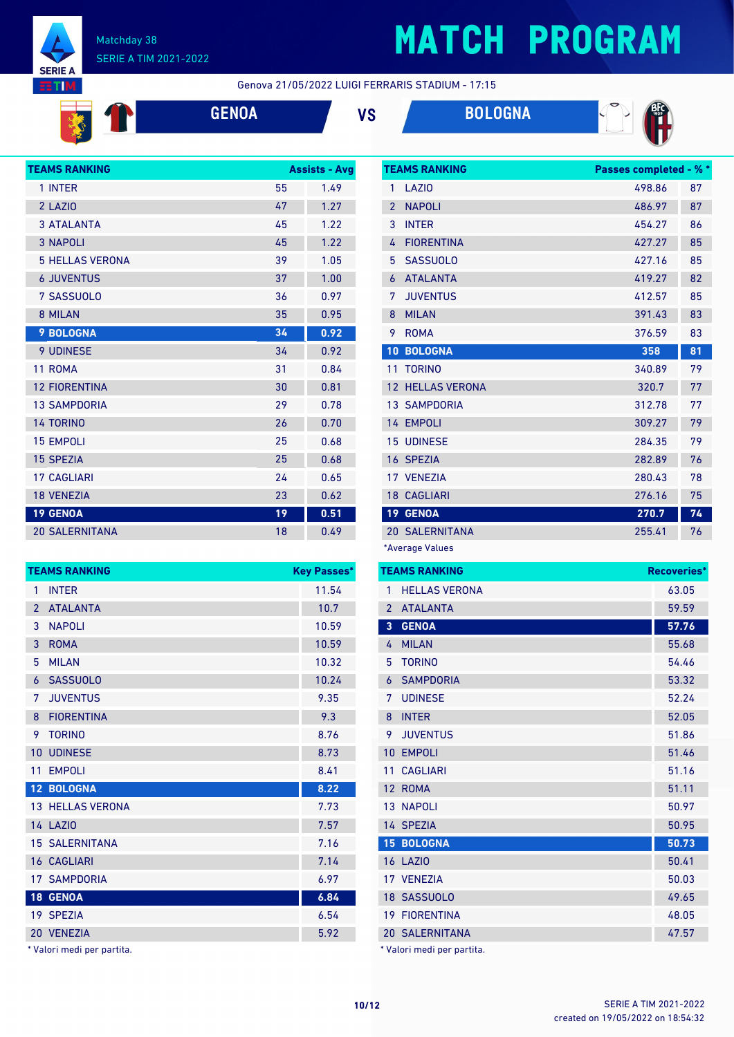

Š

#### Matchday 38 SERIE A TIM 2021-2022

# **MATCH PROGRAM**

Genova 21/05/2022 LUIGI FERRARIS STADIUM - 17:15



**GENOA VS BOLOGNA**



| <b>TEAMS RANKING</b><br><b>Assists - Avg</b> |    |      |
|----------------------------------------------|----|------|
| 1 INTER                                      | 55 | 1.49 |
| 2 LAZIO                                      | 47 | 1.27 |
| <b>3 ATALANTA</b>                            | 45 | 1.22 |
| <b>3 NAPOLI</b>                              | 45 | 1.22 |
| <b>5 HELLAS VERONA</b>                       | 39 | 1.05 |
| <b>6 JUVENTUS</b>                            | 37 | 1.00 |
| 7 SASSUOLO                                   | 36 | 0.97 |
| 8 MILAN                                      | 35 | 0.95 |
| <b>9 BOLOGNA</b>                             | 34 | 0.92 |
| <b>9 UDINESE</b>                             | 34 | 0.92 |
| 11 ROMA                                      | 31 | 0.84 |
| <b>12 FIORENTINA</b>                         | 30 | 0.81 |
| <b>13 SAMPDORIA</b>                          | 29 | 0.78 |
| <b>14 TORINO</b>                             | 26 | 0.70 |
| <b>15 EMPOLI</b>                             | 25 | 0.68 |
| <b>15 SPEZIA</b>                             | 25 | 0.68 |
| <b>17 CAGLIARI</b>                           | 24 | 0.65 |
| <b>18 VENEZIA</b>                            | 23 | 0.62 |
| <b>19 GENOA</b>                              | 19 | 0.51 |
| <b>20 SALERNITANA</b>                        | 18 | 0.49 |

|                 | <b>TEAMS RANKING</b>    | <b>Key Passes*</b> |
|-----------------|-------------------------|--------------------|
| 1               | <b>INTER</b>            | 11.54              |
| $\overline{2}$  | <b>ATALANTA</b>         | 10.7               |
| 3               | <b>NAPOLI</b>           | 10.59              |
| 3               | <b>ROMA</b>             | 10.59              |
| 5               | <b>MILAN</b>            | 10.32              |
| 6               | <b>SASSUOLO</b>         | 10.24              |
| 7               | <b>JUVENTUS</b>         | 9.35               |
| 8               | <b>FIORENTINA</b>       | 9.3                |
| 9               | <b>TORINO</b>           | 8.76               |
| 10              | <b>UDINESE</b>          | 8.73               |
| 11              | <b>EMPOLI</b>           | 8.41               |
| 12 <sup>7</sup> | <b>BOLOGNA</b>          | 8.22               |
|                 | <b>13 HELLAS VERONA</b> | 7.73               |
|                 | <b>14 LAZIO</b>         | 7.57               |
|                 | <b>15 SALERNITANA</b>   | 7.16               |
| 16 <sup>1</sup> | <b>CAGLIARI</b>         | 7.14               |
|                 | <b>17 SAMPDORIA</b>     | 6.97               |
| 18 <sup>°</sup> | <b>GENOA</b>            | 6.84               |
|                 | 19 SPEZIA               | 6.54               |
| 20              | <b>VENEZIA</b>          | 5.92               |

\* Valori medi per partita.

|                 | <b>TEAMS RANKING</b> | <b>Passes completed - % *</b> |    |
|-----------------|----------------------|-------------------------------|----|
| 1               | LAZI <sub>0</sub>    | 498.86                        | 87 |
| $\overline{2}$  | <b>NAPOLI</b>        | 486.97                        | 87 |
| 3               | <b>INTER</b>         | 454.27                        | 86 |
| 4               | <b>FIORENTINA</b>    | 427.27                        | 85 |
| 5               | <b>SASSUOLO</b>      | 427.16                        | 85 |
| 6               | <b>ATALANTA</b>      | 419.27                        | 82 |
| 7               | <b>JUVENTUS</b>      | 412.57                        | 85 |
| 8               | <b>MILAN</b>         | 391.43                        | 83 |
| 9               | <b>ROMA</b>          | 376.59                        | 83 |
| 10              | <b>BOLOGNA</b>       | 358                           | 81 |
| 11              | <b>TORINO</b>        | 340.89                        | 79 |
| 12              | <b>HELLAS VERONA</b> | 320.7                         | 77 |
|                 | <b>13 SAMPDORIA</b>  | 312.78                        | 77 |
|                 | 14 EMPOLI            | 309.27                        | 79 |
| 15              | <b>UDINESE</b>       | 284.35                        | 79 |
|                 | 16 SPEZIA            | 282.89                        | 76 |
|                 | 17 VENEZIA           | 280.43                        | 78 |
|                 | <b>18 CAGLIARI</b>   | 276.16                        | 75 |
| 19 <sup>°</sup> | <b>GENOA</b>         | 270.7                         | 74 |
|                 | 20 SALERNITANA       | 255.41                        | 76 |
|                 |                      |                               |    |

\*Average Values

|                | <b>TEAMS RANKING</b>  | <b>Recoveries*</b> |
|----------------|-----------------------|--------------------|
| 1              | <b>HELLAS VERONA</b>  | 63.05              |
| $\overline{2}$ | <b>ATALANTA</b>       | 59.59              |
| 3              | <b>GENOA</b>          | 57.76              |
| 4              | <b>MILAN</b>          | 55.68              |
| 5              | <b>TORINO</b>         | 54.46              |
| 6              | <b>SAMPDORIA</b>      | 53.32              |
| 7              | <b>UDINESE</b>        | 52.24              |
| 8              | <b>INTER</b>          | 52.05              |
| 9              | <b>JUVENTUS</b>       | 51.86              |
| 10             | <b>EMPOLI</b>         | 51.46              |
| 11             | <b>CAGLIARI</b>       | 51.16              |
| 12             | <b>ROMA</b>           | 51.11              |
|                | 13 NAPOLI             | 50.97              |
|                | 14 SPEZIA             | 50.95              |
|                | 15 BOLOGNA            | 50.73              |
|                | <b>16 LAZIO</b>       | 50.41              |
|                | 17 VENEZIA            | 50.03              |
|                | 18 SASSUOLO           | 49.65              |
|                | <b>19 FIORENTINA</b>  | 48.05              |
|                | <b>20 SALERNITANA</b> | 47.57              |

Valori medi per partita.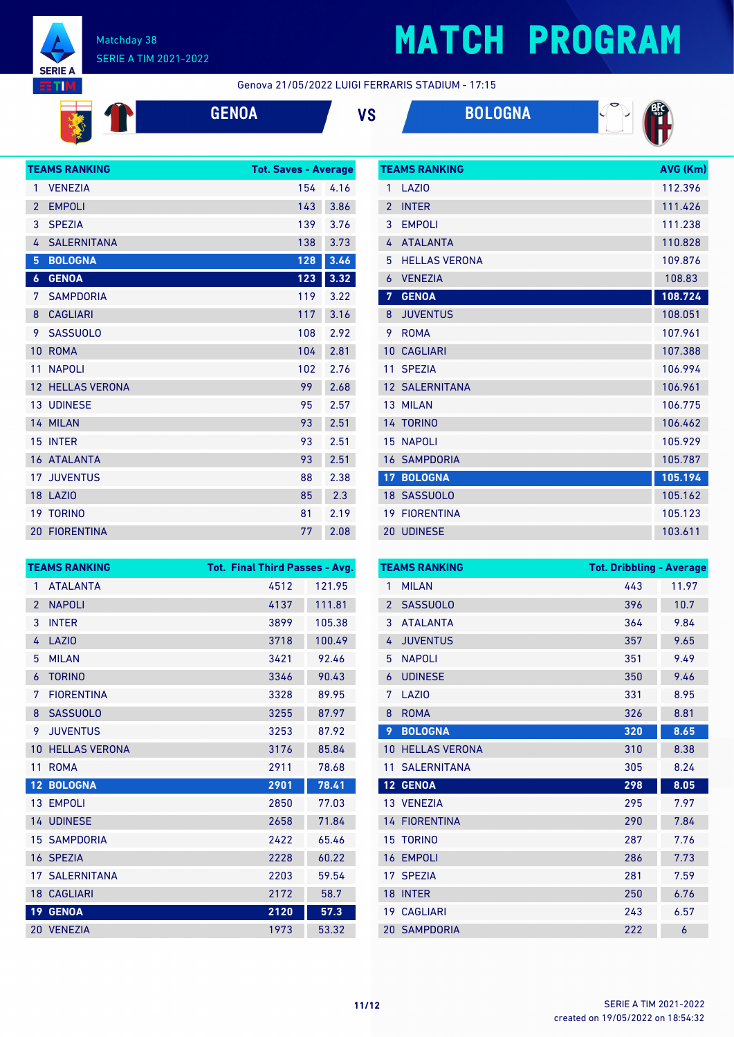

# **MATCH PROGRAM**

**TEAMS RANKING AVG (Km)** 

Genova 21/05/2022 LUIGI FERRARIS STADIUM - 17:15





|                  | <b>TEAMS RANKING</b>    | <b>Tot. Saves - Average</b> |      |
|------------------|-------------------------|-----------------------------|------|
| 1                | <b>VENEZIA</b>          | 154                         | 4.16 |
| $\overline{2}$   | <b>EMPOLI</b>           | 143                         | 3.86 |
| 3                | <b>SPEZIA</b>           | 139                         | 3.76 |
| 4                | <b>SALERNITANA</b>      | 138                         | 3.73 |
| 5                | <b>BOLOGNA</b>          | 128                         | 3.46 |
| $\boldsymbol{6}$ | <b>GENOA</b>            | 123                         | 3.32 |
| 7                | <b>SAMPDORIA</b>        | 119                         | 3.22 |
| 8                | <b>CAGLIARI</b>         | 117                         | 3.16 |
| 9                | <b>SASSUOLO</b>         | 108                         | 2.92 |
| 10               | <b>ROMA</b>             | 104                         | 2.81 |
| 11               | <b>NAPOLI</b>           | 102                         | 2.76 |
|                  | <b>12 HELLAS VERONA</b> | 99                          | 2.68 |
|                  | <b>13 UDINESE</b>       | 95                          | 2.57 |
|                  | 14 MILAN                | 93                          | 2.51 |
| 15               | <b>INTER</b>            | 93                          | 2.51 |
|                  | <b>16 ATALANTA</b>      | 93                          | 2.51 |
| 17               | <b>JUVENTUS</b>         | 88                          | 2.38 |
|                  | <b>18 LAZIO</b>         | 85                          | 2.3  |
|                  | <b>19 TORINO</b>        | 81                          | 2.19 |
|                  | <b>20 FIORENTINA</b>    | 77                          | 2.08 |

| 1              | LAZIO                 | 112.396 |
|----------------|-----------------------|---------|
| $\overline{2}$ | <b>INTER</b>          | 111.426 |
| 3              | <b>EMPOLI</b>         | 111.238 |
| 4              | <b>ATALANTA</b>       | 110.828 |
| 5              | <b>HELLAS VERONA</b>  | 109.876 |
| 6              | <b>VENEZIA</b>        | 108.83  |
| $\overline{7}$ | <b>GENOA</b>          | 108.724 |
| 8              | <b>JUVENTUS</b>       | 108.051 |
| 9              | <b>ROMA</b>           | 107.961 |
| 10             | <b>CAGLIARI</b>       | 107.388 |
| 11             | <b>SPEZIA</b>         | 106.994 |
|                | <b>12 SALERNITANA</b> | 106.961 |
|                | 13 MILAN              | 106.775 |
|                | 14 TORINO             | 106.462 |
| 15             | <b>NAPOLI</b>         | 105.929 |
|                | <b>16 SAMPDORIA</b>   | 105.787 |
| 17             | <b>BOLOGNA</b>        | 105.194 |
|                | 18 SASSUOLO           | 105.162 |
| 19             | <b>FIORENTINA</b>     | 105.123 |
|                | <b>20 UDINESE</b>     | 103.611 |

| <b>TEAMS RANKING</b> |                      | <b>Tot. Final Third Passes - Avg.</b> |        |
|----------------------|----------------------|---------------------------------------|--------|
| 1                    | <b>ATALANTA</b>      | 4512                                  | 121.95 |
| $\overline{2}$       | <b>NAPOLI</b>        | 4137                                  | 111.81 |
| 3                    | <b>INTER</b>         | 3899                                  | 105.38 |
| 4                    | <b>LAZIO</b>         | 3718                                  | 100.49 |
| 5                    | <b>MILAN</b>         | 3421                                  | 92.46  |
| 6                    | <b>TORINO</b>        | 3346                                  | 90.43  |
| 7                    | <b>FIORENTINA</b>    | 3328                                  | 89.95  |
| 8                    | <b>SASSUOLO</b>      | 3255                                  | 87.97  |
| 9                    | <b>JUVENTUS</b>      | 3253                                  | 87.92  |
| 10                   | <b>HELLAS VERONA</b> | 3176                                  | 85.84  |
| 11                   | <b>ROMA</b>          | 2911                                  | 78.68  |
| 12 <sup>2</sup>      | <b>BOLOGNA</b>       | 2901                                  | 78.41  |
|                      | 13 EMPOLI            | 2850                                  | 77.03  |
|                      | <b>14 UDINESE</b>    | 2658                                  | 71.84  |
| 15 <sup>1</sup>      | <b>SAMPDORIA</b>     | 2422                                  | 65.46  |
|                      | 16 SPEZIA            | 2228                                  | 60.22  |
| 17 <sup>7</sup>      | <b>SALERNITANA</b>   | 2203                                  | 59.54  |
|                      | <b>18 CAGLIARI</b>   | 2172                                  | 58.7   |
| 19 <sup>°</sup>      | <b>GENOA</b>         | 2120                                  | 57.3   |
| 20                   | <b>VENEZIA</b>       | 1973                                  | 53.32  |

| <b>TEAMS RANKING</b> |                      | <b>Tot. Dribbling - Average</b> |       |  |
|----------------------|----------------------|---------------------------------|-------|--|
| 1                    | <b>MILAN</b>         | 443                             | 11.97 |  |
| $\overline{2}$       | <b>SASSUOLO</b>      | 396                             | 10.7  |  |
| 3                    | <b>ATALANTA</b>      | 364                             | 9.84  |  |
| 4                    | <b>JUVENTUS</b>      | 357                             | 9.65  |  |
| 5                    | <b>NAPOLI</b>        | 351                             | 9.49  |  |
| 6                    | <b>UDINESE</b>       | 350                             | 9.46  |  |
| 7                    | LAZI <sub>0</sub>    | 331                             | 8.95  |  |
| 8                    | <b>ROMA</b>          | 326                             | 8.81  |  |
| 9                    | <b>BOLOGNA</b>       | 320                             | 8.65  |  |
| 10                   | <b>HELLAS VERONA</b> | 310                             | 8.38  |  |
| 11                   | <b>SALERNITANA</b>   | 305                             | 8.24  |  |
| 12 <sup>°</sup>      | <b>GENOA</b>         | 298                             | 8.05  |  |
|                      | 13 VENEZIA           | 295                             | 7.97  |  |
| 14                   | <b>FIORENTINA</b>    | 290                             | 7.84  |  |
| 15                   | <b>TORINO</b>        | 287                             | 7.76  |  |
| 16                   | <b>EMPOLI</b>        | 286                             | 7.73  |  |
| 17                   | <b>SPEZIA</b>        | 281                             | 7.59  |  |
| 18                   | <b>INTER</b>         | 250                             | 6.76  |  |
| 19                   | <b>CAGLIARI</b>      | 243                             | 6.57  |  |
|                      | <b>20 SAMPDORIA</b>  | 222                             | 6     |  |